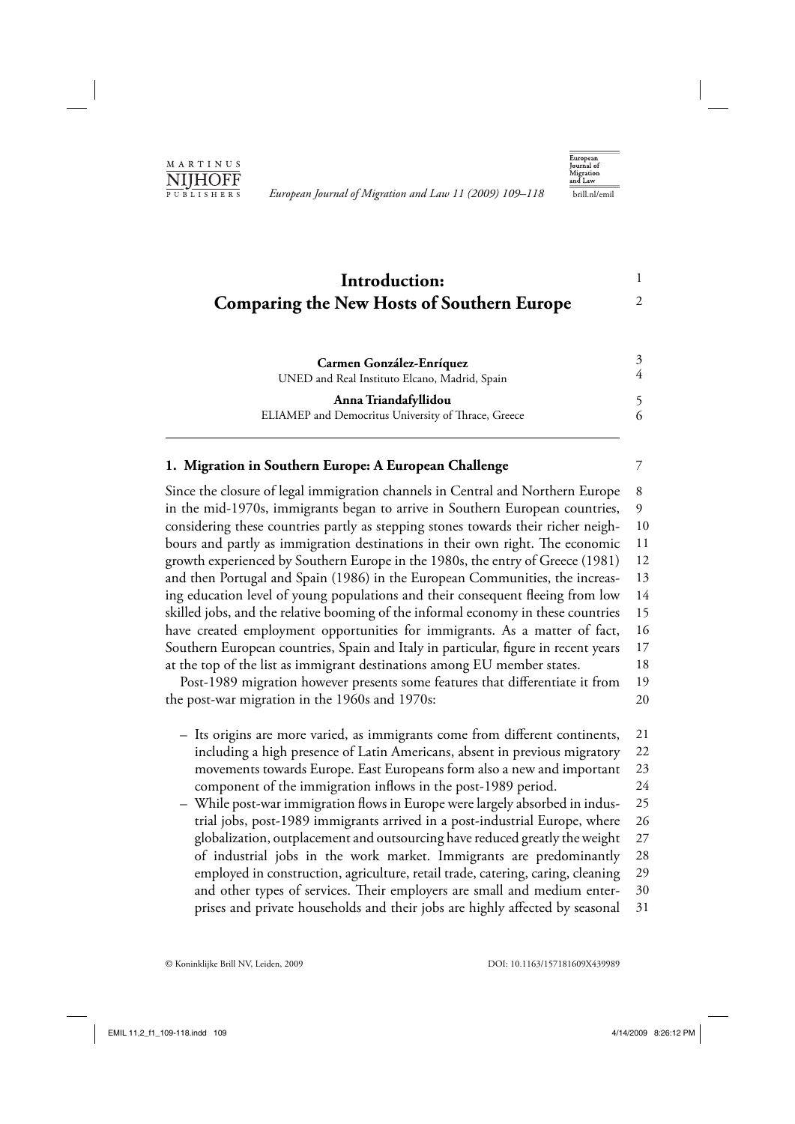

*European Journal of Migration and Law 11 (2009) 109–118* brill.nl/emil



1 2

7

# **Introduction: Comparing the New Hosts of Southern Europe**

| Carmen González-Enríquez<br>UNED and Real Instituto Elcano, Madrid, Spain | 4 |
|---------------------------------------------------------------------------|---|
|                                                                           |   |
| ELIAMEP and Democritus University of Thrace, Greece                       |   |

# **1. Migration in Southern Europe: A European Challenge**

Since the closure of legal immigration channels in Central and Northern Europe in the mid-1970s, immigrants began to arrive in Southern European countries, considering these countries partly as stepping stones towards their richer neighbours and partly as immigration destinations in their own right. The economic growth experienced by Southern Europe in the 1980s, the entry of Greece (1981) and then Portugal and Spain (1986) in the European Communities, the increasing education level of young populations and their consequent fleeing from low skilled jobs, and the relative booming of the informal economy in these countries have created employment opportunities for immigrants. As a matter of fact, Southern European countries, Spain and Italy in particular, figure in recent years at the top of the list as immigrant destinations among EU member states. 8 9 10 11 12 13 14 15 16 17 18

Post-1989 migration however presents some features that differentiate it from the post-war migration in the 1960s and 1970s: 19 20

- Its origins are more varied, as immigrants come from different continents, including a high presence of Latin Americans, absent in previous migratory movements towards Europe. East Europeans form also a new and important component of the immigration inflows in the post-1989 period. 21 22 23 24
- While post-war immigration flows in Europe were largely absorbed in industrial jobs, post-1989 immigrants arrived in a post-industrial Europe, where globalization, outplacement and outsourcing have reduced greatly the weight of industrial jobs in the work market. Immigrants are predominantly employed in construction, agriculture, retail trade, catering, caring, cleaning and other types of services. Their employers are small and medium enterprises and private households and their jobs are highly affected by seasonal 25 26 27 28 29 30 31

© Koninklijke Brill NV, Leiden, 2009 DOI: 10.1163/157181609X439989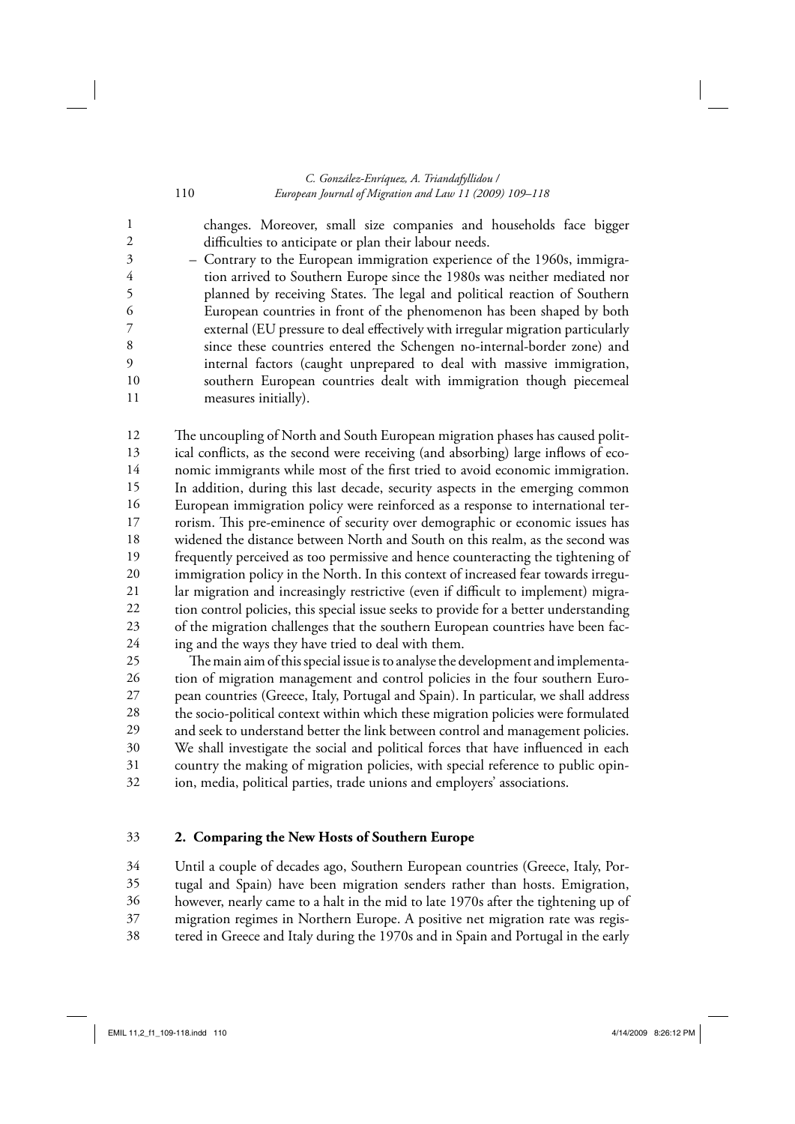# *C. González-Enríquez, A. Triandafyllidou /*  110 *European Journal of Migration and Law 11 (2009) 109–118*

changes. Moreover, small size companies and households face bigger

difficulties to anticipate or plan their labour needs. – Contrary to the European immigration experience of the 1960s, immigration arrived to Southern Europe since the 1980s was neither mediated nor planned by receiving States. The legal and political reaction of Southern European countries in front of the phenomenon has been shaped by both external (EU pressure to deal effectively with irregular migration particularly since these countries entered the Schengen no-internal-border zone) and internal factors (caught unprepared to deal with massive immigration, southern European countries dealt with immigration though piecemeal measures initially). 2 3 4 5 6 7 8 9 10 11

The uncoupling of North and South European migration phases has caused political conflicts, as the second were receiving (and absorbing) large inflows of economic immigrants while most of the first tried to avoid economic immigration. In addition, during this last decade, security aspects in the emerging common European immigration policy were reinforced as a response to international terrorism. This pre-eminence of security over demographic or economic issues has widened the distance between North and South on this realm, as the second was frequently perceived as too permissive and hence counteracting the tightening of immigration policy in the North. In this context of increased fear towards irregular migration and increasingly restrictive (even if difficult to implement) migration control policies, this special issue seeks to provide for a better understanding of the migration challenges that the southern European countries have been facing and the ways they have tried to deal with them. 12 13 14 15 16 17 18 19 20 21 22 23 24

The main aim of this special issue is to analyse the development and implementation of migration management and control policies in the four southern European countries (Greece, Italy, Portugal and Spain). In particular, we shall address the socio-political context within which these migration policies were formulated and seek to understand better the link between control and management policies. We shall investigate the social and political forces that have influenced in each country the making of migration policies, with special reference to public opinion, media, political parties, trade unions and employers' associations. 25 26 27 28 29 30 31 32

#### **2. Comparing the New Hosts of Southern Europe** 33

Until a couple of decades ago, Southern European countries (Greece, Italy, Portugal and Spain) have been migration senders rather than hosts. Emigration, however, nearly came to a halt in the mid to late 1970s after the tightening up of migration regimes in Northern Europe. A positive net migration rate was regis-34 35 36 37

tered in Greece and Italy during the 1970s and in Spain and Portugal in the early 38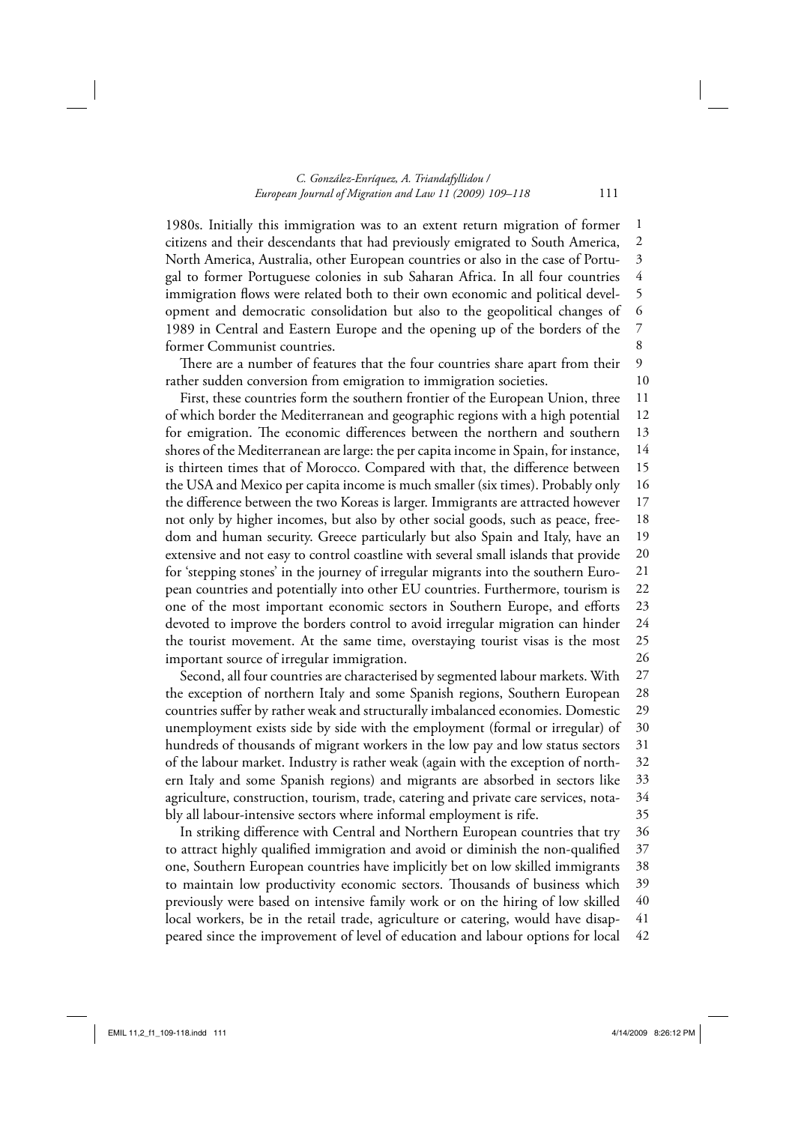#### *C. González-Enríquez, A. Triandafyllidou / European Journal of Migration and Law 11 (2009) 109–118* 111

1980s. Initially this immigration was to an extent return migration of former citizens and their descendants that had previously emigrated to South America, North America, Australia, other European countries or also in the case of Portugal to former Portuguese colonies in sub Saharan Africa. In all four countries immigration flows were related both to their own economic and political development and democratic consolidation but also to the geopolitical changes of 1989 in Central and Eastern Europe and the opening up of the borders of the former Communist countries. 1 2 3 4 5 6 7 8

There are a number of features that the four countries share apart from their rather sudden conversion from emigration to immigration societies.

First, these countries form the southern frontier of the European Union, three of which border the Mediterranean and geographic regions with a high potential for emigration. The economic differences between the northern and southern shores of the Mediterranean are large: the per capita income in Spain, for instance, is thirteen times that of Morocco. Compared with that, the difference between the USA and Mexico per capita income is much smaller (six times). Probably only the difference between the two Koreas is larger. Immigrants are attracted however not only by higher incomes, but also by other social goods, such as peace, freedom and human security. Greece particularly but also Spain and Italy, have an extensive and not easy to control coastline with several small islands that provide for 'stepping stones' in the journey of irregular migrants into the southern European countries and potentially into other EU countries. Furthermore, tourism is one of the most important economic sectors in Southern Europe, and efforts devoted to improve the borders control to avoid irregular migration can hinder the tourist movement. At the same time, overstaying tourist visas is the most important source of irregular immigration. 11 12 13 14 15 16 17 18 19 20 21 22 23 24 25 26

Second, all four countries are characterised by segmented labour markets. With the exception of northern Italy and some Spanish regions, Southern European countries suffer by rather weak and structurally imbalanced economies. Domestic unemployment exists side by side with the employment (formal or irregular) of hundreds of thousands of migrant workers in the low pay and low status sectors of the labour market. Industry is rather weak (again with the exception of northern Italy and some Spanish regions) and migrants are absorbed in sectors like agriculture, construction, tourism, trade, catering and private care services, notably all labour-intensive sectors where informal employment is rife. 27 28 29 30 31 32 33 34 35

In striking difference with Central and Northern European countries that try to attract highly qualified immigration and avoid or diminish the non-qualified one, Southern European countries have implicitly bet on low skilled immigrants to maintain low productivity economic sectors. Thousands of business which previously were based on intensive family work or on the hiring of low skilled local workers, be in the retail trade, agriculture or catering, would have disappeared since the improvement of level of education and labour options for local 36 37 38 39 40 41 42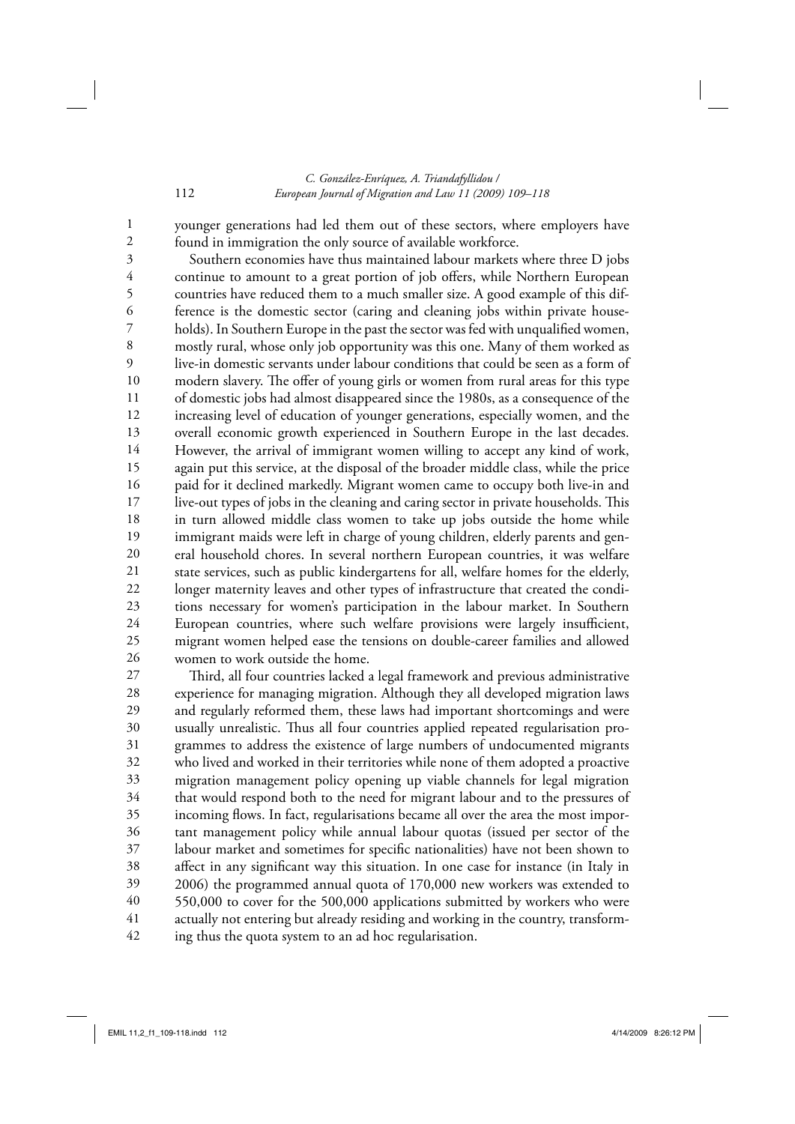# *C. González-Enríquez, A. Triandafyllidou /*  112 *European Journal of Migration and Law 11 (2009) 109–118*

younger generations had led them out of these sectors, where employers have found in immigration the only source of available workforce.

Southern economies have thus maintained labour markets where three D jobs continue to amount to a great portion of job offers, while Northern European countries have reduced them to a much smaller size. A good example of this difference is the domestic sector (caring and cleaning jobs within private households). In Southern Europe in the past the sector was fed with unqualified women, mostly rural, whose only job opportunity was this one. Many of them worked as live-in domestic servants under labour conditions that could be seen as a form of modern slavery. The offer of young girls or women from rural areas for this type of domestic jobs had almost disappeared since the 1980s, as a consequence of the increasing level of education of younger generations, especially women, and the overall economic growth experienced in Southern Europe in the last decades. However, the arrival of immigrant women willing to accept any kind of work, again put this service, at the disposal of the broader middle class, while the price paid for it declined markedly. Migrant women came to occupy both live-in and live-out types of jobs in the cleaning and caring sector in private households. This in turn allowed middle class women to take up jobs outside the home while immigrant maids were left in charge of young children, elderly parents and general household chores. In several northern European countries, it was welfare state services, such as public kindergartens for all, welfare homes for the elderly, longer maternity leaves and other types of infrastructure that created the conditions necessary for women's participation in the labour market. In Southern European countries, where such welfare provisions were largely insufficient, migrant women helped ease the tensions on double-career families and allowed women to work outside the home. 3 4 5 6 7 8 9 10 11 12 13 14 15 16 17 18 19 20 21 22 23 24 25 26

Third, all four countries lacked a legal framework and previous administrative experience for managing migration. Although they all developed migration laws and regularly reformed them, these laws had important shortcomings and were usually unrealistic. Thus all four countries applied repeated regularisation programmes to address the existence of large numbers of undocumented migrants who lived and worked in their territories while none of them adopted a proactive migration man agement policy opening up viable channels for legal migration that would respond both to the need for migrant labour and to the pressures of incoming flows. In fact, regularisations became all over the area the most important management policy while annual labour quotas (issued per sector of the labour market and sometimes for specific nationalities) have not been shown to affect in any significant way this situation. In one case for instance (in Italy in 2006) the programmed annual quota of 170,000 new workers was extended to 550,000 to cover for the 500,000 applications submitted by workers who were actually not entering but already residing and working in the country, transforming thus the quota system to an ad hoc regularisation. 27 28 29 30 31 32 33 34 35 36 37 38 39 40 41 42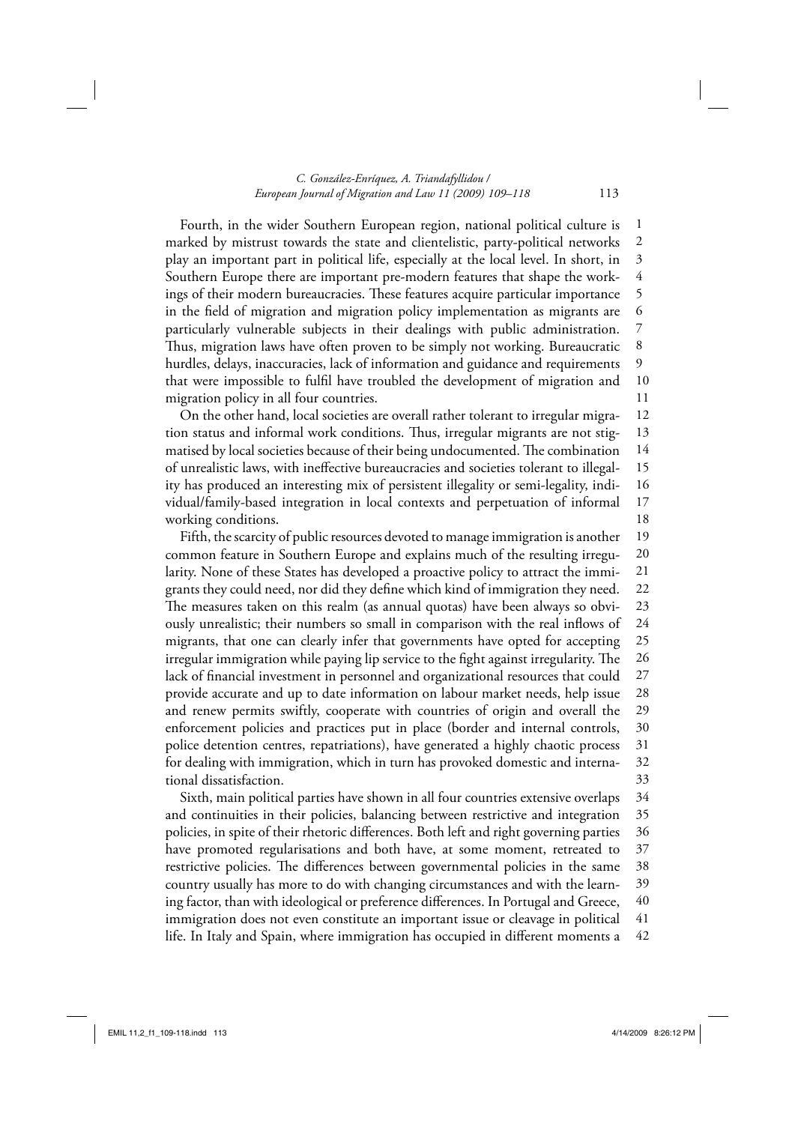#### *C. González-Enríquez, A. Triandafyllidou / European Journal of Migration and Law 11 (2009) 109–118* 113

Fourth, in the wider Southern European region, national political culture is marked by mistrust towards the state and clientelistic, party-political networks play an im portant part in political life, especially at the local level. In short, in Southern Europe there are important pre-modern features that shape the workings of their modern bureaucracies. These features acquire particular importance in the field of migration and migration policy implementation as migrants are particularly vulnerable subjects in their dealings with public administration. Thus, migration laws have often proven to be simply not working. Bureaucratic hurdles, delays, inaccuracies, lack of information and guidance and requirements that were impossible to fulfil have troubled the development of migration and migration policy in all four countries. 1 2 3 4 5 6 7 8 9 10 11

On the other hand, local societies are overall rather tolerant to irregular migration status and informal work conditions. Thus, irregular migrants are not stigmatised by local societies because of their being undocumented. The combination of unrealistic laws, with ineffective bureaucracies and societies tolerant to illegality has produced an interesting mix of persistent illegality or semi-legality, individual/family-based integration in local contexts and perpetuation of informal working conditions. 12 13 14 15 16 17 18

Fifth, the scarcity of public resources devoted to manage immigration is another common feature in Southern Europe and explains much of the resulting irregularity. None of these States has developed a proactive policy to attract the immigrants they could need, nor did they define which kind of immigration they need. The measures taken on this realm (as annual quotas) have been always so obviously unrealistic; their numbers so small in comparison with the real inflows of migrants, that one can clearly infer that governments have opted for accepting irregular immigration while paying lip service to the fight against irregularity. The lack of financial investment in personnel and organizational resources that could provide accurate and up to date in formation on labour market needs, help issue and renew permits swiftly, cooperate with countries of origin and overall the enforcement policies and practices put in place (border and internal controls, police detention centres, repatriations), have generated a highly chaotic process for dealing with immigration, which in turn has provoked domestic and international dissatisfaction. 19 20 21 22 23 24 25 26 27 28 29 30 31 32 33

Sixth, main political parties have shown in all four countries extensive overlaps and continuities in their policies, balancing between restrictive and integration policies, in spite of their rhetoric differences. Both left and right governing parties have promoted regularisations and both have, at some moment, retreated to restrictive policies. The differences between governmental policies in the same country usually has more to do with changing circumstances and with the learning factor, than with ideological or preference differences. In Portugal and Greece, immigration does not even constitute an important issue or cleavage in political life. In Italy and Spain, where immigration has occupied in different moments a 34 35 36 37 38 39 40 41 42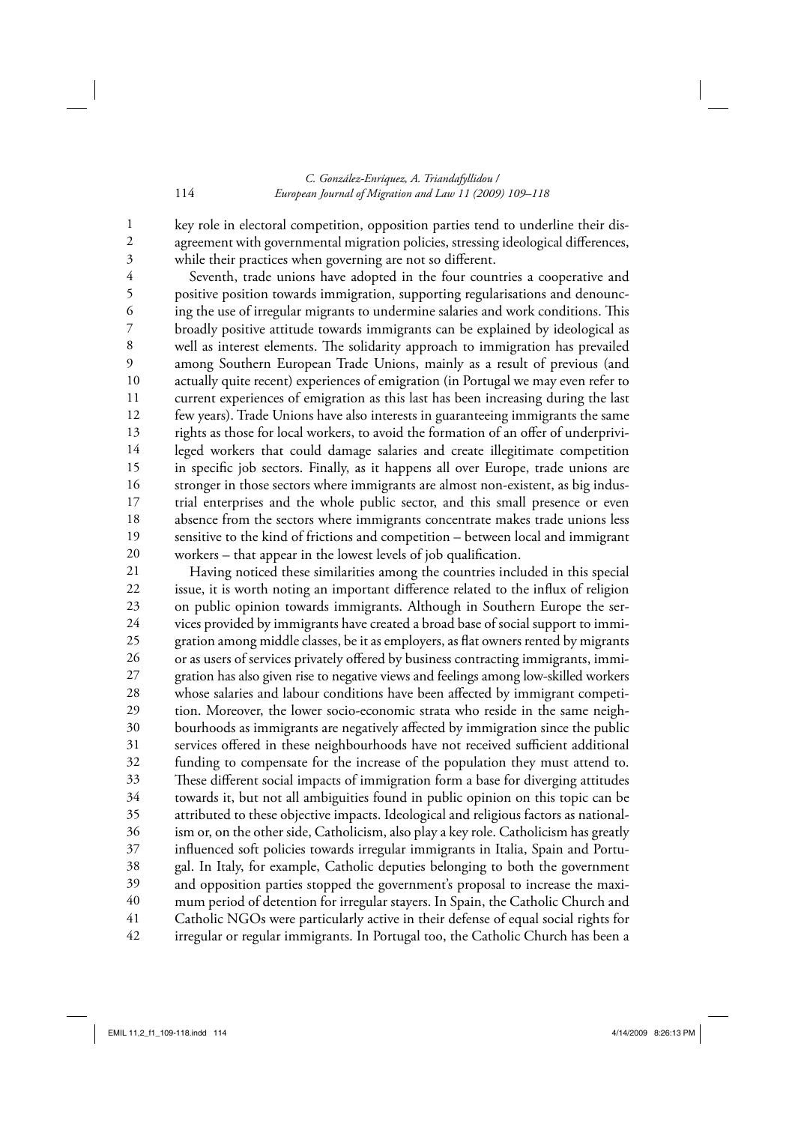### *C. González-Enríquez, A. Triandafyllidou /*  114 *European Journal of Migration and Law 11 (2009) 109–118*

key role in electoral competition, opposition parties tend to underline their disagreement with governmental migration policies, stressing ideological differences, while their practices when governing are not so different.

Seventh, trade unions have adopted in the four countries a cooperative and positive position towards immigration, supporting regularisations and denouncing the use of irregular migrants to undermine salaries and work conditions. This broadly positive attitude towards immigrants can be explained by ideological as well as interest elements. The solidarity approach to immigration has prevailed among Southern European Trade Unions, mainly as a result of previous (and actually quite recent) experiences of emigration (in Portugal we may even refer to current experiences of emigration as this last has been increasing during the last few years). Trade Unions have also interests in guaranteeing immigrants the same rights as those for local workers, to avoid the formation of an offer of underprivileged workers that could damage salaries and create illegitimate competition in specific job sectors. Finally, as it happens all over Europe, trade unions are stronger in those sectors where immigrants are almost non-existent, as big industrial enterprises and the whole public sector, and this small presence or even absence from the sectors where im migrants concentrate makes trade unions less sensitive to the kind of frictions and competition – between local and immigrant workers – that appear in the lowest levels of job qualification. 4 5 6 7 8 9 10 11 12 13 14 15 16 17 18 19 20

Having noticed these similarities among the countries included in this special issue, it is worth noting an important difference related to the influx of religion on public opinion towards immigrants. Although in Southern Europe the services provided by immigrants have created a broad base of social support to immigration among middle classes, be it as employers, as flat owners rented by migrants or as users of services privately offered by business contracting immigrants, immigration has also given rise to negative views and feelings among low-skilled workers whose salaries and labour conditions have been affected by immigrant competition. Moreover, the lower socio-economic strata who reside in the same neighbourhoods as immigrants are negatively affected by immigration since the public services offered in these neighbourhoods have not received sufficient additional funding to compensate for the increase of the population they must attend to. These different social impacts of immigration form a base for diverging attitudes towards it, but not all ambiguities found in public opinion on this topic can be attributed to these objective impacts. Ideological and religious factors as nationalism or, on the other side, Catholicism, also play a key role. Catholicism has greatly influenced soft policies towards irregular immigrants in Italia, Spain and Portugal. In Italy, for example, Catholic deputies belonging to both the government and opposition parties stopped the government's proposal to increase the maximum period of detention for irregular stayers. In Spain, the Catholic Church and Catholic NGOs were particularly active in their defense of equal social rights for irregular or regular immigrants. In Portugal too, the Catholic Church has been a 21 22 23 24 25 26 27 28 29 30 31 32 33 34 35 36 37 38 39 40 41 42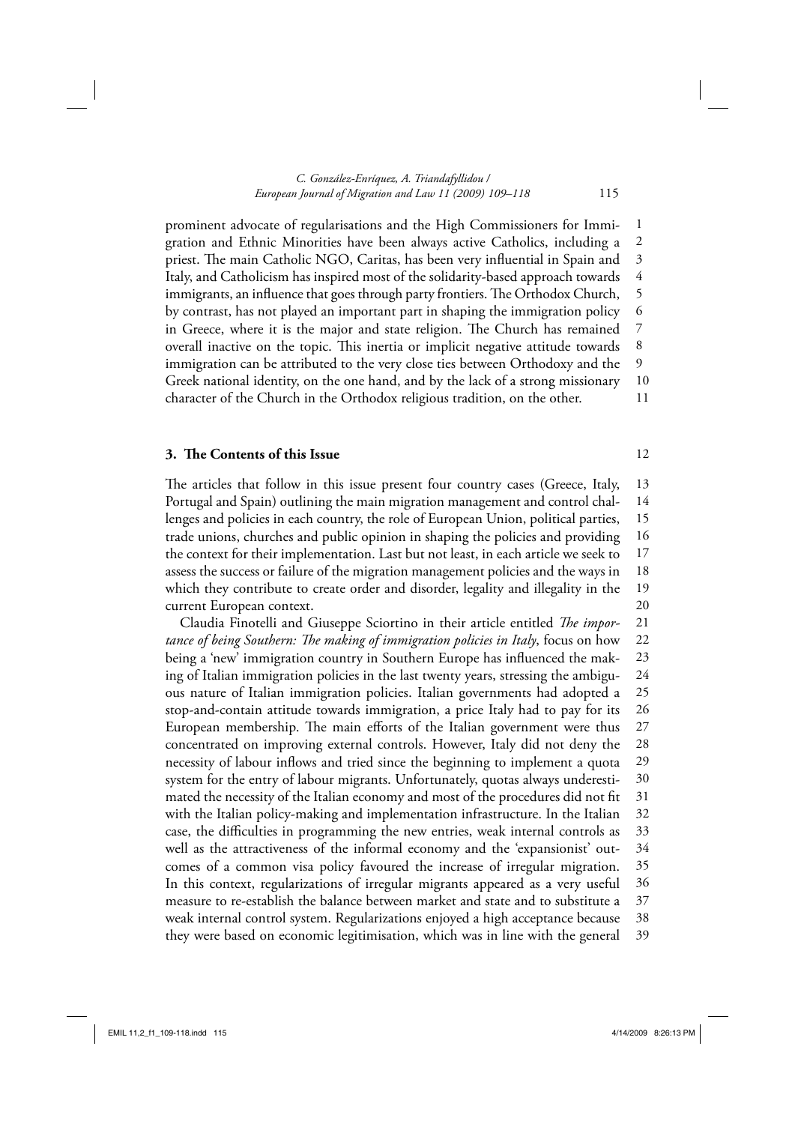prominent advocate of regularisations and the High Commissioners for Immigration and Ethnic Minorities have been always active Catholics, including a priest. The main Catholic NGO, Caritas, has been very influential in Spain and Italy, and Catholicism has inspired most of the solidarity-based approach towards immigrants, an influence that goes through party frontiers. The Orthodox Church, by contrast, has not played an important part in shaping the immigration policy in Greece, where it is the major and state religion. The Church has remained overall inactive on the topic. This inertia or implicit negative attitude towards immigration can be attributed to the very close ties between Orthodoxy and the Greek national identity, on the one hand, and by the lack of a strong missionary character of the Church in the Orthodox religious tradition, on the other. 1 2 3 4 5 6 7 8 9 10 11

# **3.** The Contents of this Issue

The articles that follow in this issue present four country cases (Greece, Italy, Portugal and Spain) outlining the main migration management and control challenges and policies in each country, the role of European Union, political parties, trade unions, churches and public opinion in shaping the policies and providing the context for their implementation. Last but not least, in each article we seek to assess the success or failure of the migration management policies and the ways in which they contribute to create order and disorder, legality and illegality in the current European context. 13 14 15 16 17 18 19 20

Claudia Finotelli and Giuseppe Sciortino in their article entitled *The importance of being Southern: The making of immigration policies in Italy*, focus on how being a 'new' immigration country in Southern Europe has influenced the making of Italian immigration policies in the last twenty years, stressing the ambiguous nature of Italian immigration policies. Italian governments had adopted a stop-and-contain attitude towards immigration, a price Italy had to pay for its European membership. The main efforts of the Italian government were thus concentrated on improving external controls. However, Italy did not deny the necessity of labour inflows and tried since the beginning to implement a quota system for the entry of labour migrants. Unfortunately, quotas always underestimated the necessity of the Italian economy and most of the procedures did not fit with the Italian policy-making and implementation infrastructure. In the Italian case, the difficulties in programming the new entries, weak internal controls as well as the attractiveness of the informal economy and the 'expansionist' outcomes of a common visa policy favoured the increase of irregular migration. In this context, regularizations of irregular migrants appeared as a very useful measure to re-establish the balance between market and state and to substitute a weak internal control system. Regularizations enjoyed a high acceptance because they were based on economic legitimisation, which was in line with the general 21 22 23 24 25 26 27 28 29 30 31 32 33 34 35 36 37 38 39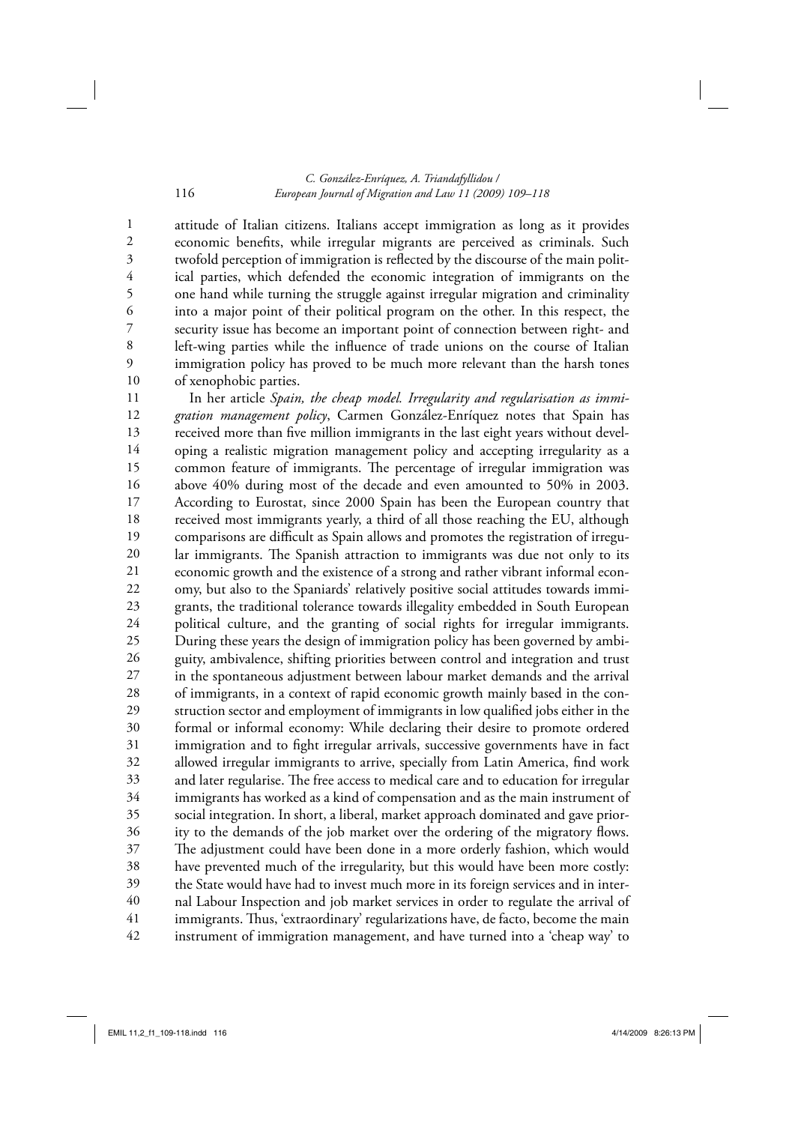#### *C. González-Enríquez, A. Triandafyllidou /*  116 *European Journal of Migration and Law 11 (2009) 109–118*

attitude of Italian citizens. Italians accept immigration as long as it provides economic benefits, while irregular migrants are perceived as criminals. Such twofold perception of immigration is reflected by the discourse of the main political parties, which defended the economic integration of immigrants on the one hand while turning the struggle against irregular migration and criminality into a major point of their political program on the other. In this respect, the security issue has become an important point of connection between right- and left-wing parties while the influence of trade unions on the course of Italian immigration policy has proved to be much more relevant than the harsh tones of xenophobic parties. 10

In her article *Spain, the cheap model. Irregularity and regularisation as immigration management policy*, Carmen González-Enríquez notes that Spain has received more than five million immigrants in the last eight years without developing a realistic migration management policy and accepting irregularity as a common feature of immigrants. The percentage of irregular immigration was above 40% during most of the decade and even amounted to 50% in 2003. According to Eurostat, since 2000 Spain has been the European country that received most immigrants yearly, a third of all those reaching the EU, although comparisons are difficult as Spain allows and promotes the registration of irregular immigrants. The Spanish attraction to immigrants was due not only to its economic growth and the existence of a strong and rather vibrant informal economy, but also to the Spaniards' relatively positive social attitudes towards immigrants, the traditional tolerance towards illegality embedded in South European political culture, and the granting of social rights for irregular immigrants. During these years the design of immigration policy has been governed by ambiguity, ambivalence, shifting priorities between control and integration and trust in the spontaneous adjustment between labour market demands and the arrival of immigrants, in a context of rapid economic growth mainly based in the construction sector and employment of immigrants in low qualified jobs either in the formal or informal economy: While declaring their desire to promote ordered immigration and to fight irregular arrivals, successive governments have in fact allowed irregular immigrants to arrive, specially from Latin America, find work and later regularise. The free access to medical care and to education for irregular immigrants has worked as a kind of compensation and as the main instrument of social integration. In short, a liberal, market approach dominated and gave priority to the demands of the job market over the ordering of the migratory flows. The adjustment could have been done in a more orderly fashion, which would have prevented much of the irregularity, but this would have been more costly: the State would have had to invest much more in its foreign services and in internal Labour Inspection and job market services in order to regulate the arrival of immigrants. Thus, 'extraordinary' regularizations have, de facto, become the main instrument of immigration management, and have turned into a 'cheap way' to 11 12 13 14 15 16 17 18 19 20 21 22 23 24 25 26 27 28 29 30 31 32 33 34 35 36 37 38 39 40 41 42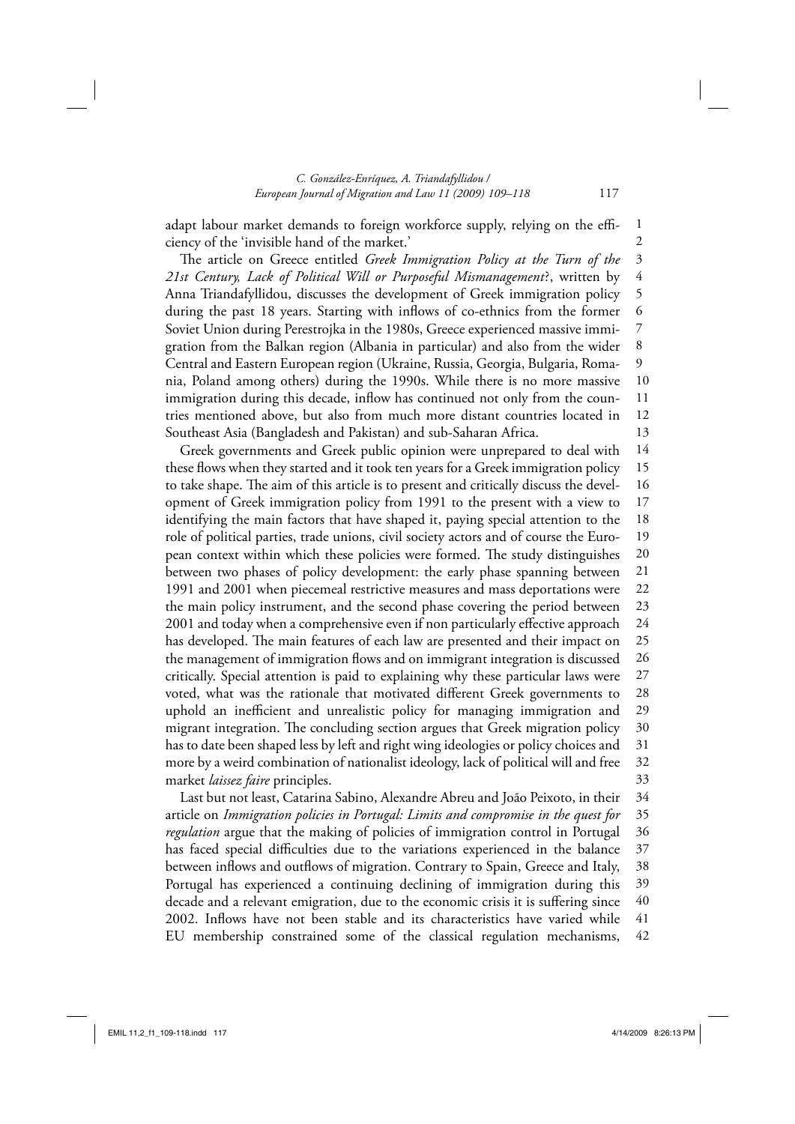# *C. González-Enríquez, A. Triandafyllidou / European Journal of Migration and Law 11 (2009) 109–118* 117

adapt labour market demands to foreign workforce supply, relying on the efficiency of the 'invisible hand of the market.'

The article on Greece entitled Greek Immigration Policy at the Turn of the *21st Century, Lack of Political Will or Purposeful Mismanagement*?, written by Anna Triandafyllidou, discusses the development of Greek immigration policy during the past 18 years. Starting with inflows of co-ethnics from the former Soviet Union during Perestrojka in the 1980s, Greece experienced massive immigration from the Balkan region (Albania in particular) and also from the wider Central and Eastern European region (Ukraine, Russia, Georgia, Bulgaria, Romania, Poland among others) during the 1990s. While there is no more massive immigration during this decade, inflow has continued not only from the countries mentioned above, but also from much more distant countries located in Southeast Asia (Bangladesh and Pakistan) and sub-Saharan Africa. 3 4 5 6 7 8 9 10 11 12 13

Greek governments and Greek public opinion were unprepared to deal with these flows when they started and it took ten years for a Greek immigration policy to take shape. The aim of this article is to present and critically discuss the development of Greek immigration policy from 1991 to the present with a view to identifying the main factors that have shaped it, paying special attention to the role of political parties, trade unions, civil society actors and of course the European context within which these policies were formed. The study distinguishes between two phases of policy development: the early phase spanning between 1991 and 2001 when piecemeal restrictive measures and mass deportations were the main policy instrument, and the second phase covering the period between 2001 and today when a comprehensive even if non particularly effective approach has developed. The main features of each law are presented and their impact on the management of immigration flows and on immigrant integration is discussed critically. Special attention is paid to explaining why these particular laws were voted, what was the rationale that motivated different Greek governments to uphold an inefficient and unrealistic policy for managing immigration and migrant integration. The concluding section argues that Greek migration policy has to date been shaped less by left and right wing ideologies or policy choices and more by a weird combination of nationalist ideology, lack of political will and free market *laissez faire* principles. 14 15 16 17 18 19 20 21 22 23 24 25 26 27 28 29 30 31 32 33

Last but not least, Catarina Sabino, Alexandre Abreu and João Peixoto, in their article on *Immigration policies in Portugal: Limits and compromise in the quest for regulation* argue that the making of policies of immigration control in Portugal has faced special difficulties due to the variations experienced in the balance between inflows and outflows of migration. Contrary to Spain, Greece and Italy, Portugal has experienced a continuing declining of immigration during this decade and a relevant emigration, due to the economic crisis it is suffering since 2002. Inflows have not been stable and its characteristics have varied while EU membership constrained some of the classical regulation mechanisms, 34 35 36 37 38 39 40 41 42